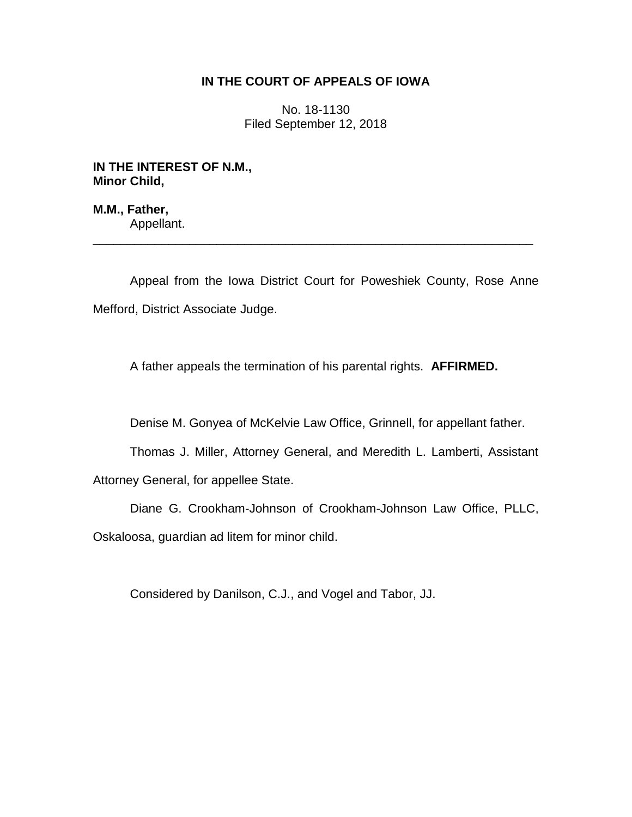## **IN THE COURT OF APPEALS OF IOWA**

No. 18-1130 Filed September 12, 2018

**IN THE INTEREST OF N.M., Minor Child,**

**M.M., Father,** Appellant.

Appeal from the Iowa District Court for Poweshiek County, Rose Anne Mefford, District Associate Judge.

\_\_\_\_\_\_\_\_\_\_\_\_\_\_\_\_\_\_\_\_\_\_\_\_\_\_\_\_\_\_\_\_\_\_\_\_\_\_\_\_\_\_\_\_\_\_\_\_\_\_\_\_\_\_\_\_\_\_\_\_\_\_\_\_

A father appeals the termination of his parental rights. **AFFIRMED.**

Denise M. Gonyea of McKelvie Law Office, Grinnell, for appellant father.

Thomas J. Miller, Attorney General, and Meredith L. Lamberti, Assistant

Attorney General, for appellee State.

Diane G. Crookham-Johnson of Crookham-Johnson Law Office, PLLC,

Oskaloosa, guardian ad litem for minor child.

Considered by Danilson, C.J., and Vogel and Tabor, JJ.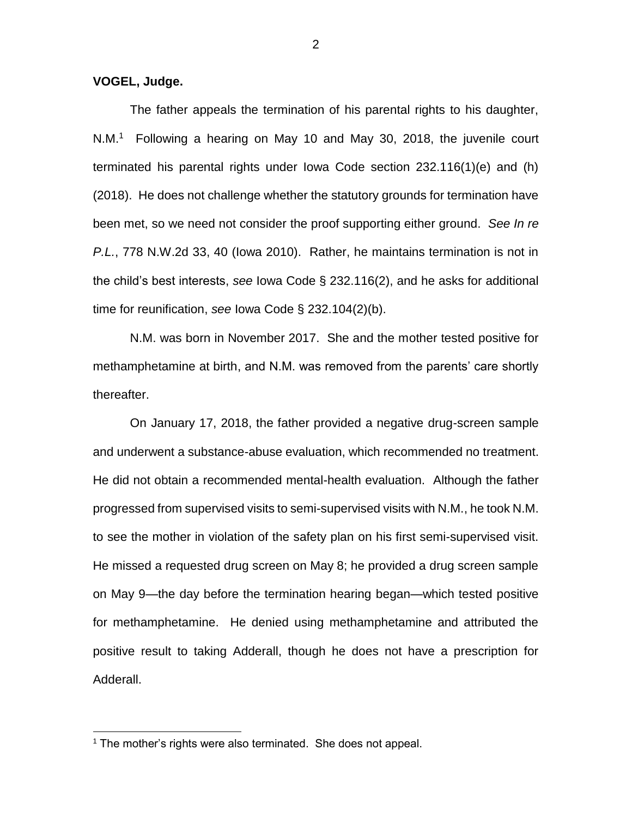**VOGEL, Judge.**

The father appeals the termination of his parental rights to his daughter, N.M.<sup>1</sup> Following a hearing on May 10 and May 30, 2018, the juvenile court terminated his parental rights under Iowa Code section 232.116(1)(e) and (h) (2018). He does not challenge whether the statutory grounds for termination have been met, so we need not consider the proof supporting either ground. *See In re P.L.*, 778 N.W.2d 33, 40 (Iowa 2010). Rather, he maintains termination is not in the child's best interests, *see* Iowa Code § 232.116(2), and he asks for additional time for reunification, *see* Iowa Code § 232.104(2)(b).

N.M. was born in November 2017. She and the mother tested positive for methamphetamine at birth, and N.M. was removed from the parents' care shortly thereafter.

On January 17, 2018, the father provided a negative drug-screen sample and underwent a substance-abuse evaluation, which recommended no treatment. He did not obtain a recommended mental-health evaluation. Although the father progressed from supervised visits to semi-supervised visits with N.M., he took N.M. to see the mother in violation of the safety plan on his first semi-supervised visit. He missed a requested drug screen on May 8; he provided a drug screen sample on May 9—the day before the termination hearing began—which tested positive for methamphetamine. He denied using methamphetamine and attributed the positive result to taking Adderall, though he does not have a prescription for Adderall.

 $\overline{a}$ 

 $1$  The mother's rights were also terminated. She does not appeal.